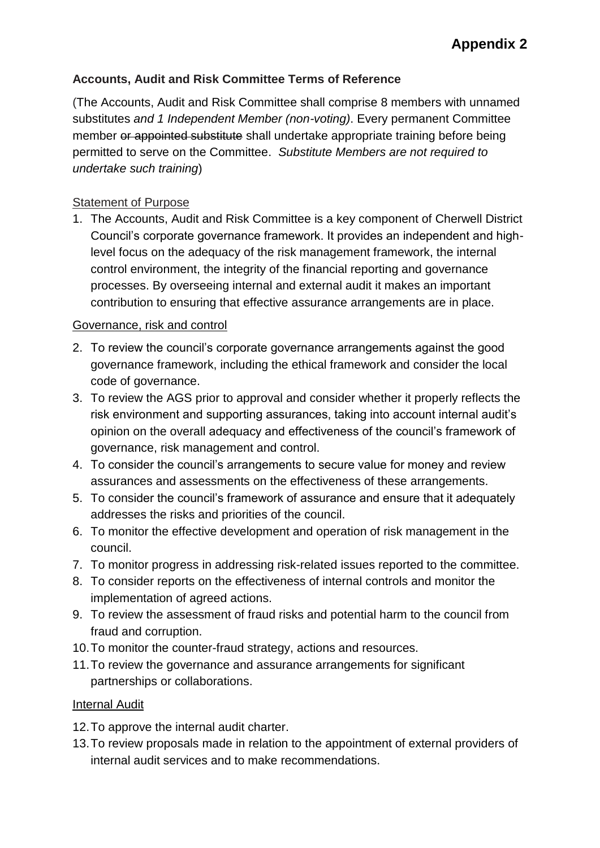# **Accounts, Audit and Risk Committee Terms of Reference**

(The Accounts, Audit and Risk Committee shall comprise 8 members with unnamed substitutes *and 1 Independent Member (non-voting)*. Every permanent Committee member or appointed substitute shall undertake appropriate training before being permitted to serve on the Committee. *Substitute Members are not required to undertake such training*)

### **Statement of Purpose**

1. The Accounts, Audit and Risk Committee is a key component of Cherwell District Council's corporate governance framework. It provides an independent and highlevel focus on the adequacy of the risk management framework, the internal control environment, the integrity of the financial reporting and governance processes. By overseeing internal and external audit it makes an important contribution to ensuring that effective assurance arrangements are in place.

#### Governance, risk and control

- 2. To review the council's corporate governance arrangements against the good governance framework, including the ethical framework and consider the local code of governance.
- 3. To review the AGS prior to approval and consider whether it properly reflects the risk environment and supporting assurances, taking into account internal audit's opinion on the overall adequacy and effectiveness of the council's framework of governance, risk management and control.
- 4. To consider the council's arrangements to secure value for money and review assurances and assessments on the effectiveness of these arrangements.
- 5. To consider the council's framework of assurance and ensure that it adequately addresses the risks and priorities of the council.
- 6. To monitor the effective development and operation of risk management in the council.
- 7. To monitor progress in addressing risk-related issues reported to the committee.
- 8. To consider reports on the effectiveness of internal controls and monitor the implementation of agreed actions.
- 9. To review the assessment of fraud risks and potential harm to the council from fraud and corruption.
- 10.To monitor the counter-fraud strategy, actions and resources.
- 11.To review the governance and assurance arrangements for significant partnerships or collaborations.

#### Internal Audit

- 12.To approve the internal audit charter.
- 13.To review proposals made in relation to the appointment of external providers of internal audit services and to make recommendations.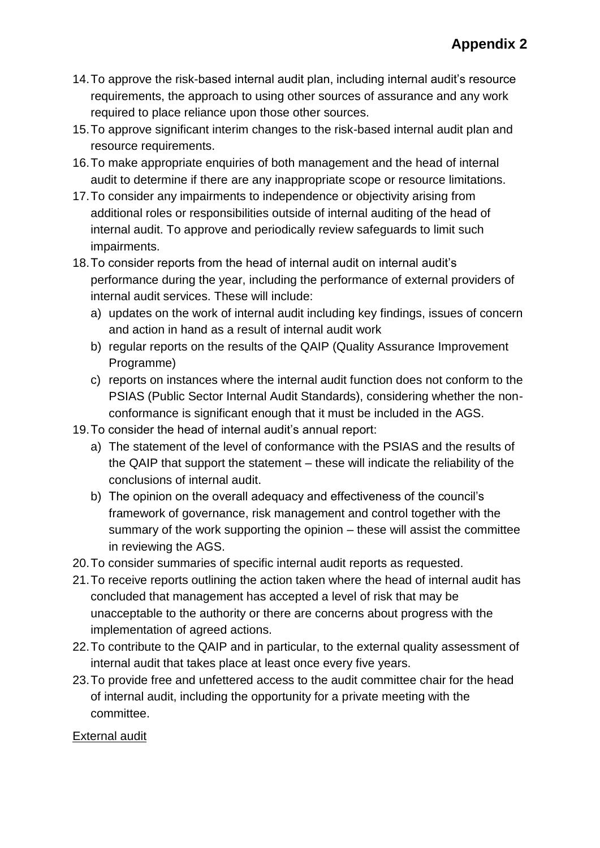- 14.To approve the risk-based internal audit plan, including internal audit's resource requirements, the approach to using other sources of assurance and any work required to place reliance upon those other sources.
- 15.To approve significant interim changes to the risk-based internal audit plan and resource requirements.
- 16.To make appropriate enquiries of both management and the head of internal audit to determine if there are any inappropriate scope or resource limitations.
- 17.To consider any impairments to independence or objectivity arising from additional roles or responsibilities outside of internal auditing of the head of internal audit. To approve and periodically review safeguards to limit such impairments.
- 18.To consider reports from the head of internal audit on internal audit's performance during the year, including the performance of external providers of internal audit services. These will include:
	- a) updates on the work of internal audit including key findings, issues of concern and action in hand as a result of internal audit work
	- b) regular reports on the results of the QAIP (Quality Assurance Improvement Programme)
	- c) reports on instances where the internal audit function does not conform to the PSIAS (Public Sector Internal Audit Standards), considering whether the nonconformance is significant enough that it must be included in the AGS.
- 19.To consider the head of internal audit's annual report:
	- a) The statement of the level of conformance with the PSIAS and the results of the QAIP that support the statement – these will indicate the reliability of the conclusions of internal audit.
	- b) The opinion on the overall adequacy and effectiveness of the council's framework of governance, risk management and control together with the summary of the work supporting the opinion – these will assist the committee in reviewing the AGS.
- 20.To consider summaries of specific internal audit reports as requested.
- 21.To receive reports outlining the action taken where the head of internal audit has concluded that management has accepted a level of risk that may be unacceptable to the authority or there are concerns about progress with the implementation of agreed actions.
- 22.To contribute to the QAIP and in particular, to the external quality assessment of internal audit that takes place at least once every five years.
- 23.To provide free and unfettered access to the audit committee chair for the head of internal audit, including the opportunity for a private meeting with the committee.

#### External audit